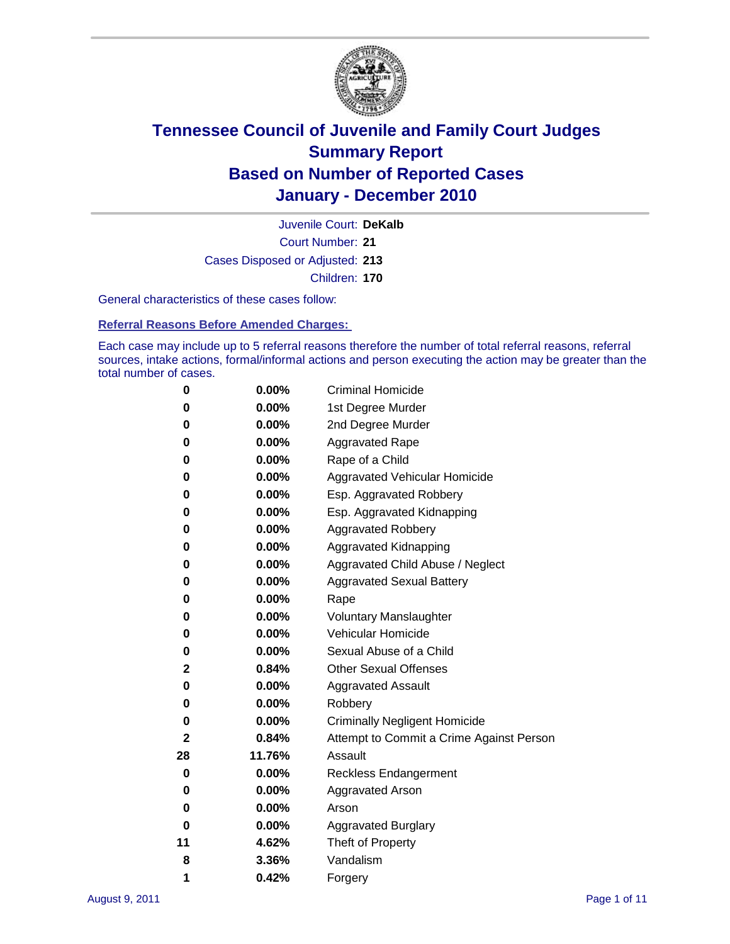

Court Number: **21** Juvenile Court: **DeKalb** Cases Disposed or Adjusted: **213** Children: **170**

General characteristics of these cases follow:

**Referral Reasons Before Amended Charges:** 

Each case may include up to 5 referral reasons therefore the number of total referral reasons, referral sources, intake actions, formal/informal actions and person executing the action may be greater than the total number of cases.

| 0  | 0.00%    | <b>Criminal Homicide</b>                 |  |  |
|----|----------|------------------------------------------|--|--|
| 0  | 0.00%    | 1st Degree Murder                        |  |  |
| 0  | 0.00%    | 2nd Degree Murder                        |  |  |
| 0  | 0.00%    | <b>Aggravated Rape</b>                   |  |  |
| 0  | 0.00%    | Rape of a Child                          |  |  |
| 0  | 0.00%    | Aggravated Vehicular Homicide            |  |  |
| 0  | 0.00%    | Esp. Aggravated Robbery                  |  |  |
| 0  | 0.00%    | Esp. Aggravated Kidnapping               |  |  |
| 0  | 0.00%    | <b>Aggravated Robbery</b>                |  |  |
| 0  | 0.00%    | Aggravated Kidnapping                    |  |  |
| 0  | 0.00%    | Aggravated Child Abuse / Neglect         |  |  |
| 0  | $0.00\%$ | <b>Aggravated Sexual Battery</b>         |  |  |
| 0  | 0.00%    | Rape                                     |  |  |
| 0  | 0.00%    | <b>Voluntary Manslaughter</b>            |  |  |
| 0  | 0.00%    | Vehicular Homicide                       |  |  |
| 0  | 0.00%    | Sexual Abuse of a Child                  |  |  |
| 2  | 0.84%    | <b>Other Sexual Offenses</b>             |  |  |
| 0  | 0.00%    | <b>Aggravated Assault</b>                |  |  |
| 0  | $0.00\%$ | Robbery                                  |  |  |
| 0  | 0.00%    | <b>Criminally Negligent Homicide</b>     |  |  |
| 2  | 0.84%    | Attempt to Commit a Crime Against Person |  |  |
| 28 | 11.76%   | Assault                                  |  |  |
| 0  | 0.00%    | <b>Reckless Endangerment</b>             |  |  |
| 0  | 0.00%    | <b>Aggravated Arson</b>                  |  |  |
| 0  | 0.00%    | Arson                                    |  |  |
| 0  | 0.00%    | <b>Aggravated Burglary</b>               |  |  |
| 11 | 4.62%    | Theft of Property                        |  |  |
| 8  | 3.36%    | Vandalism                                |  |  |
| 1  | 0.42%    | Forgery                                  |  |  |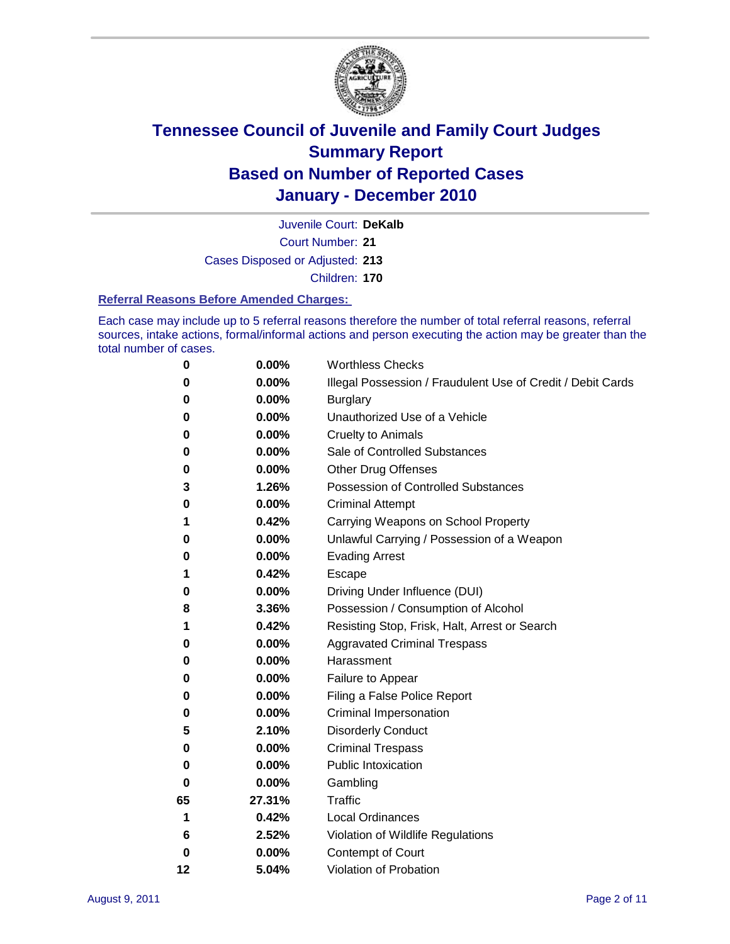

Juvenile Court: **DeKalb**

Court Number: **21**

Cases Disposed or Adjusted: **213**

Children: **170**

### **Referral Reasons Before Amended Charges:**

Each case may include up to 5 referral reasons therefore the number of total referral reasons, referral sources, intake actions, formal/informal actions and person executing the action may be greater than the total number of cases.

| 0  | 0.00%  | <b>Worthless Checks</b>                                     |
|----|--------|-------------------------------------------------------------|
| 0  | 0.00%  | Illegal Possession / Fraudulent Use of Credit / Debit Cards |
| 0  | 0.00%  | <b>Burglary</b>                                             |
| 0  | 0.00%  | Unauthorized Use of a Vehicle                               |
| 0  | 0.00%  | <b>Cruelty to Animals</b>                                   |
| 0  | 0.00%  | Sale of Controlled Substances                               |
| 0  | 0.00%  | <b>Other Drug Offenses</b>                                  |
| 3  | 1.26%  | <b>Possession of Controlled Substances</b>                  |
| 0  | 0.00%  | <b>Criminal Attempt</b>                                     |
| 1  | 0.42%  | Carrying Weapons on School Property                         |
| 0  | 0.00%  | Unlawful Carrying / Possession of a Weapon                  |
| 0  | 0.00%  | <b>Evading Arrest</b>                                       |
| 1  | 0.42%  | Escape                                                      |
| 0  | 0.00%  | Driving Under Influence (DUI)                               |
| 8  | 3.36%  | Possession / Consumption of Alcohol                         |
| 1  | 0.42%  | Resisting Stop, Frisk, Halt, Arrest or Search               |
| 0  | 0.00%  | <b>Aggravated Criminal Trespass</b>                         |
| 0  | 0.00%  | Harassment                                                  |
| 0  | 0.00%  | Failure to Appear                                           |
| 0  | 0.00%  | Filing a False Police Report                                |
| 0  | 0.00%  | Criminal Impersonation                                      |
| 5  | 2.10%  | <b>Disorderly Conduct</b>                                   |
| 0  | 0.00%  | <b>Criminal Trespass</b>                                    |
| 0  | 0.00%  | <b>Public Intoxication</b>                                  |
| 0  | 0.00%  | Gambling                                                    |
| 65 | 27.31% | <b>Traffic</b>                                              |
| 1  | 0.42%  | <b>Local Ordinances</b>                                     |
| 6  | 2.52%  | Violation of Wildlife Regulations                           |
| 0  | 0.00%  | Contempt of Court                                           |
| 12 | 5.04%  | Violation of Probation                                      |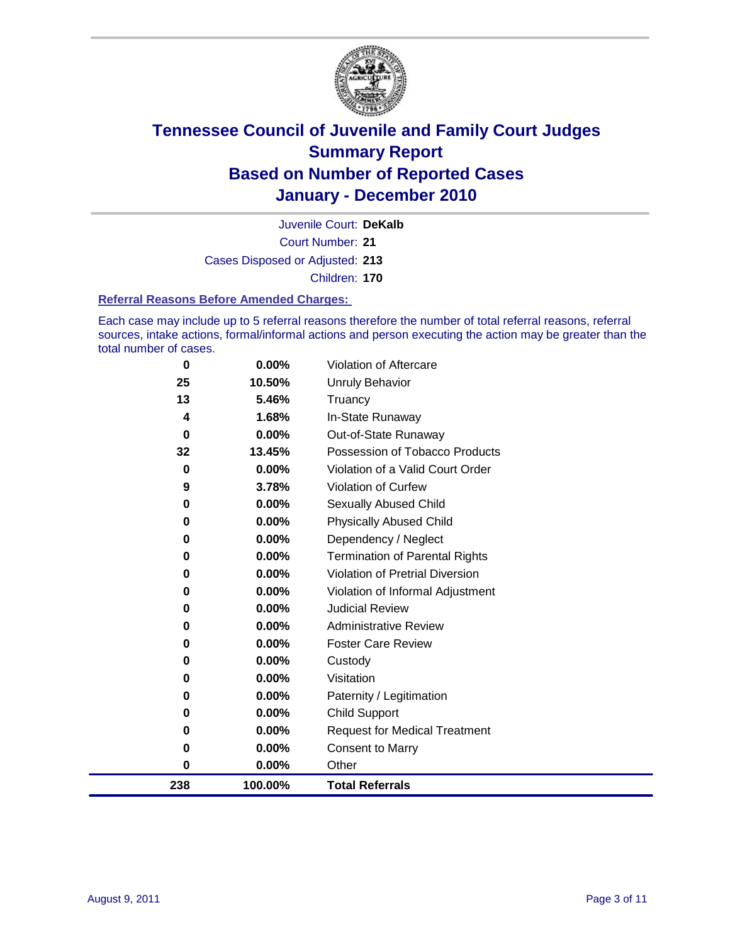

Court Number: **21** Juvenile Court: **DeKalb** Cases Disposed or Adjusted: **213** Children: **170**

#### **Referral Reasons Before Amended Charges:**

Each case may include up to 5 referral reasons therefore the number of total referral reasons, referral sources, intake actions, formal/informal actions and person executing the action may be greater than the total number of cases.

| 238      | 100.00%        | <b>Total Referrals</b>                   |
|----------|----------------|------------------------------------------|
| 0        | 0.00%          | Other                                    |
| 0        | 0.00%          | <b>Consent to Marry</b>                  |
| 0        | 0.00%          | <b>Request for Medical Treatment</b>     |
| 0        | 0.00%          | <b>Child Support</b>                     |
| 0        | 0.00%          | Paternity / Legitimation                 |
| 0        | 0.00%          | Visitation                               |
| 0        | 0.00%          | Custody                                  |
| 0        | 0.00%          | <b>Foster Care Review</b>                |
| 0        | 0.00%          | <b>Administrative Review</b>             |
| 0        | 0.00%          | <b>Judicial Review</b>                   |
| 0        | 0.00%          | Violation of Informal Adjustment         |
| 0        | 0.00%          | <b>Violation of Pretrial Diversion</b>   |
| 0        | 0.00%          | Termination of Parental Rights           |
| 0        | 0.00%          | Dependency / Neglect                     |
| 0        | 0.00%          | <b>Physically Abused Child</b>           |
| 0        | 0.00%          | <b>Sexually Abused Child</b>             |
| 9        | 3.78%          | Violation of Curfew                      |
| $\bf{0}$ | 0.00%          | Violation of a Valid Court Order         |
| 32       | 13.45%         | Possession of Tobacco Products           |
| 0        | 0.00%          | In-State Runaway<br>Out-of-State Runaway |
| 13<br>4  | 5.46%<br>1.68% | Truancy                                  |
| 25       | 10.50%         | <b>Unruly Behavior</b>                   |
| $\bf{0}$ | 0.00%          | Violation of Aftercare                   |
|          |                |                                          |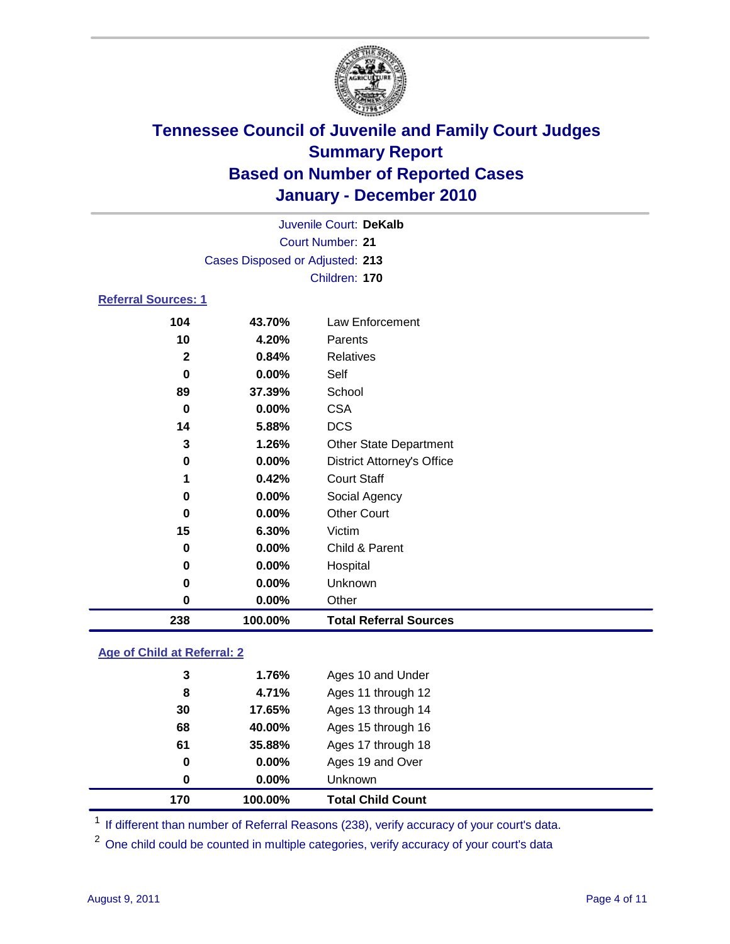

|                                 |          | Juvenile Court: DeKalb            |  |  |  |
|---------------------------------|----------|-----------------------------------|--|--|--|
| Court Number: 21                |          |                                   |  |  |  |
| Cases Disposed or Adjusted: 213 |          |                                   |  |  |  |
|                                 |          | Children: 170                     |  |  |  |
| <b>Referral Sources: 1</b>      |          |                                   |  |  |  |
| 104                             | 43.70%   | Law Enforcement                   |  |  |  |
| 10                              | 4.20%    | Parents                           |  |  |  |
| $\mathbf{2}$                    | 0.84%    | <b>Relatives</b>                  |  |  |  |
| 0                               | $0.00\%$ | Self                              |  |  |  |
| 89                              | 37.39%   | School                            |  |  |  |
| 0                               | $0.00\%$ | <b>CSA</b>                        |  |  |  |
| 14                              | 5.88%    | <b>DCS</b>                        |  |  |  |
| 3                               | 1.26%    | <b>Other State Department</b>     |  |  |  |
| 0                               | $0.00\%$ | <b>District Attorney's Office</b> |  |  |  |
| 1                               | 0.42%    | <b>Court Staff</b>                |  |  |  |
| 0                               | $0.00\%$ | Social Agency                     |  |  |  |

| 238 | 100.00%  | <b>Total Referral Sources</b> |  |
|-----|----------|-------------------------------|--|
| 0   | $0.00\%$ | Other                         |  |
| 0   | $0.00\%$ | <b>Unknown</b>                |  |
| 0   | 0.00%    | Hospital                      |  |
| 0   | $0.00\%$ | Child & Parent                |  |
| 15  | 6.30%    | Victim                        |  |
| 0   | $0.00\%$ | <b>Other Court</b>            |  |

### **Age of Child at Referral: 2**

| 170 | 100.00% | <b>Total Child Count</b> |
|-----|---------|--------------------------|
| 0   | 0.00%   | <b>Unknown</b>           |
| 0   | 0.00%   | Ages 19 and Over         |
| 61  | 35.88%  | Ages 17 through 18       |
| 68  | 40.00%  | Ages 15 through 16       |
| 30  | 17.65%  | Ages 13 through 14       |
| 8   | 4.71%   | Ages 11 through 12       |
| 3   | 1.76%   | Ages 10 and Under        |
|     |         |                          |

<sup>1</sup> If different than number of Referral Reasons (238), verify accuracy of your court's data.

<sup>2</sup> One child could be counted in multiple categories, verify accuracy of your court's data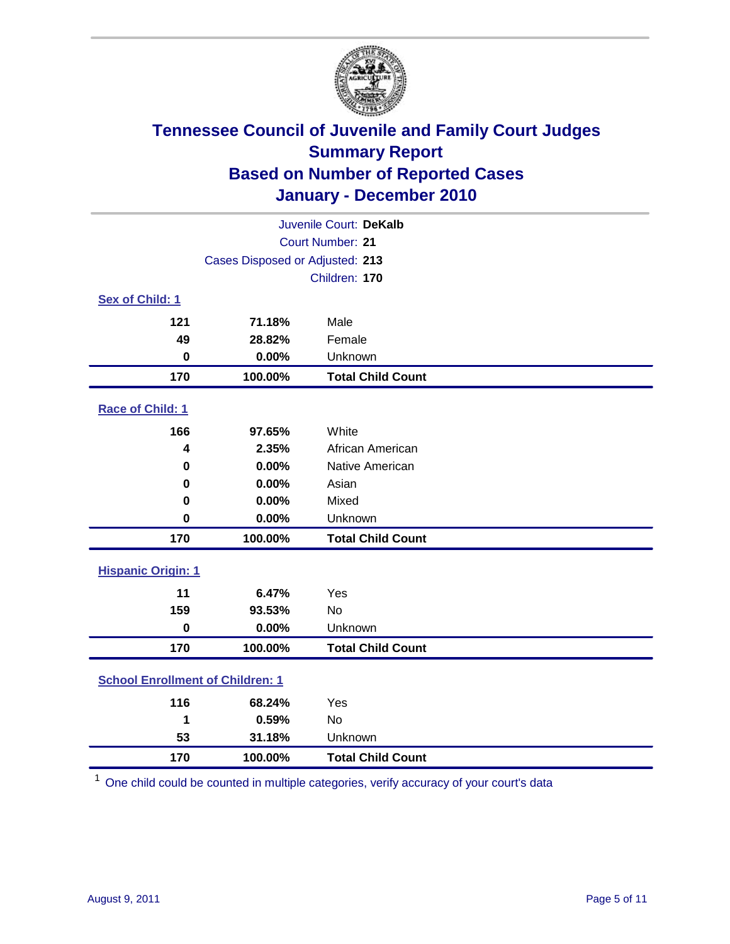

| Juvenile Court: DeKalb                  |                                 |                          |  |  |  |
|-----------------------------------------|---------------------------------|--------------------------|--|--|--|
|                                         | <b>Court Number: 21</b>         |                          |  |  |  |
|                                         | Cases Disposed or Adjusted: 213 |                          |  |  |  |
|                                         |                                 | Children: 170            |  |  |  |
| Sex of Child: 1                         |                                 |                          |  |  |  |
| 121                                     | 71.18%                          | Male                     |  |  |  |
| 49                                      | 28.82%                          | Female                   |  |  |  |
| $\bf{0}$                                | 0.00%                           | Unknown                  |  |  |  |
| 170                                     | 100.00%                         | <b>Total Child Count</b> |  |  |  |
| Race of Child: 1                        |                                 |                          |  |  |  |
| 166                                     | 97.65%                          | White                    |  |  |  |
| 4                                       | 2.35%                           | African American         |  |  |  |
| 0                                       | 0.00%                           | Native American          |  |  |  |
| $\mathbf 0$                             | 0.00%                           | Asian                    |  |  |  |
| 0                                       | 0.00%                           | Mixed                    |  |  |  |
| $\mathbf 0$                             | 0.00%                           | Unknown                  |  |  |  |
| 170                                     | 100.00%                         | <b>Total Child Count</b> |  |  |  |
| <b>Hispanic Origin: 1</b>               |                                 |                          |  |  |  |
| 11                                      | 6.47%                           | Yes                      |  |  |  |
| 159                                     | 93.53%                          | <b>No</b>                |  |  |  |
| $\mathbf 0$                             | 0.00%                           | Unknown                  |  |  |  |
| 170                                     | 100.00%                         | <b>Total Child Count</b> |  |  |  |
| <b>School Enrollment of Children: 1</b> |                                 |                          |  |  |  |
| 116                                     | 68.24%                          | Yes                      |  |  |  |
| 1                                       | 0.59%                           | No                       |  |  |  |
| 53                                      | 31.18%                          | Unknown                  |  |  |  |
| 170                                     | 100.00%                         | <b>Total Child Count</b> |  |  |  |

One child could be counted in multiple categories, verify accuracy of your court's data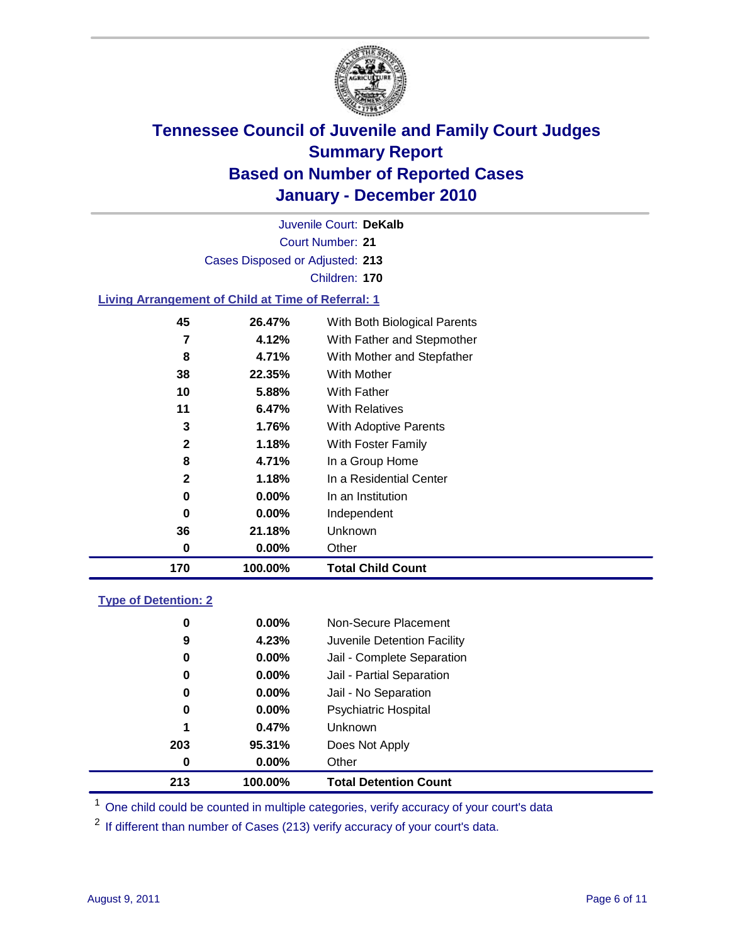

Court Number: **21** Juvenile Court: **DeKalb** Cases Disposed or Adjusted: **213** Children: **170**

### **Living Arrangement of Child at Time of Referral: 1**

| 170          | 100.00%  | <b>Total Child Count</b>     |
|--------------|----------|------------------------------|
| 0            | $0.00\%$ | Other                        |
| 36           | 21.18%   | Unknown                      |
| 0            | $0.00\%$ | Independent                  |
| 0            | $0.00\%$ | In an Institution            |
| $\mathbf{2}$ | 1.18%    | In a Residential Center      |
| 8            | 4.71%    | In a Group Home              |
| 2            | 1.18%    | With Foster Family           |
| 3            | 1.76%    | With Adoptive Parents        |
| 11           | 6.47%    | <b>With Relatives</b>        |
| 10           | 5.88%    | With Father                  |
| 38           | 22.35%   | <b>With Mother</b>           |
| 8            | 4.71%    | With Mother and Stepfather   |
| 7            | 4.12%    | With Father and Stepmother   |
| 45           | 26.47%   | With Both Biological Parents |

### **Type of Detention: 2**

| 213 | 100.00%  | <b>Total Detention Count</b> |  |
|-----|----------|------------------------------|--|
| 0   | 0.00%    | Other                        |  |
| 203 | 95.31%   | Does Not Apply               |  |
| 1   | 0.47%    | <b>Unknown</b>               |  |
| 0   | $0.00\%$ | Psychiatric Hospital         |  |
| 0   | 0.00%    | Jail - No Separation         |  |
| 0   | $0.00\%$ | Jail - Partial Separation    |  |
| 0   | 0.00%    | Jail - Complete Separation   |  |
| 9   | 4.23%    | Juvenile Detention Facility  |  |
| 0   | $0.00\%$ | Non-Secure Placement         |  |
|     |          |                              |  |

<sup>1</sup> One child could be counted in multiple categories, verify accuracy of your court's data

<sup>2</sup> If different than number of Cases (213) verify accuracy of your court's data.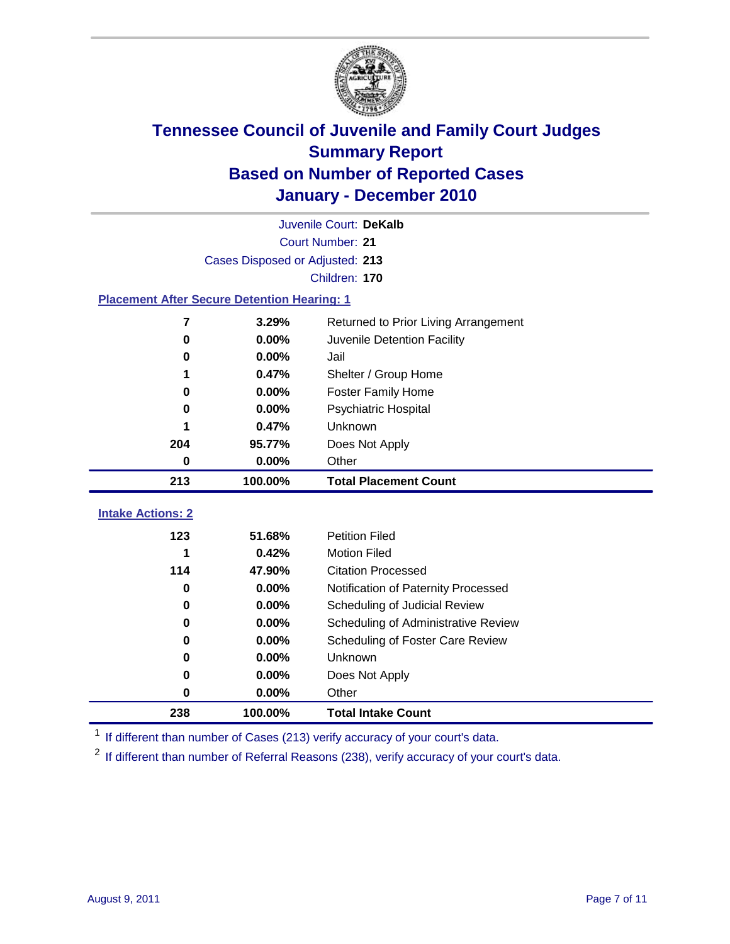

|                                                    | Juvenile Court: DeKalb          |                                      |  |  |  |
|----------------------------------------------------|---------------------------------|--------------------------------------|--|--|--|
|                                                    | Court Number: 21                |                                      |  |  |  |
|                                                    | Cases Disposed or Adjusted: 213 |                                      |  |  |  |
|                                                    |                                 | Children: 170                        |  |  |  |
| <b>Placement After Secure Detention Hearing: 1</b> |                                 |                                      |  |  |  |
| 7                                                  | 3.29%                           | Returned to Prior Living Arrangement |  |  |  |
| 0.00%<br>Juvenile Detention Facility<br>0          |                                 |                                      |  |  |  |
| 0                                                  | 0.00%                           | Jail                                 |  |  |  |
| 1                                                  | 0.47%                           | Shelter / Group Home                 |  |  |  |
| 0                                                  | 0.00%                           | <b>Foster Family Home</b>            |  |  |  |
| 0                                                  | 0.00%                           | Psychiatric Hospital                 |  |  |  |
|                                                    | 0.47%                           | Unknown                              |  |  |  |
| 204                                                | 95.77%                          | Does Not Apply                       |  |  |  |
| 0                                                  | 0.00%                           | Other                                |  |  |  |
|                                                    |                                 |                                      |  |  |  |
| 213                                                | 100.00%                         | <b>Total Placement Count</b>         |  |  |  |
|                                                    |                                 |                                      |  |  |  |
| <b>Intake Actions: 2</b>                           | 51.68%                          | <b>Petition Filed</b>                |  |  |  |
| 123<br>1                                           | 0.42%                           | <b>Motion Filed</b>                  |  |  |  |
| 114                                                | 47.90%                          | <b>Citation Processed</b>            |  |  |  |
| 0                                                  | 0.00%                           | Notification of Paternity Processed  |  |  |  |
| 0                                                  | 0.00%                           | Scheduling of Judicial Review        |  |  |  |
| 0                                                  | 0.00%                           | Scheduling of Administrative Review  |  |  |  |
| 0                                                  | 0.00%                           | Scheduling of Foster Care Review     |  |  |  |
| 0                                                  | 0.00%                           | Unknown                              |  |  |  |
| 0                                                  | 0.00%                           | Does Not Apply                       |  |  |  |
| 0                                                  | 0.00%                           | Other                                |  |  |  |

<sup>1</sup> If different than number of Cases (213) verify accuracy of your court's data.

<sup>2</sup> If different than number of Referral Reasons (238), verify accuracy of your court's data.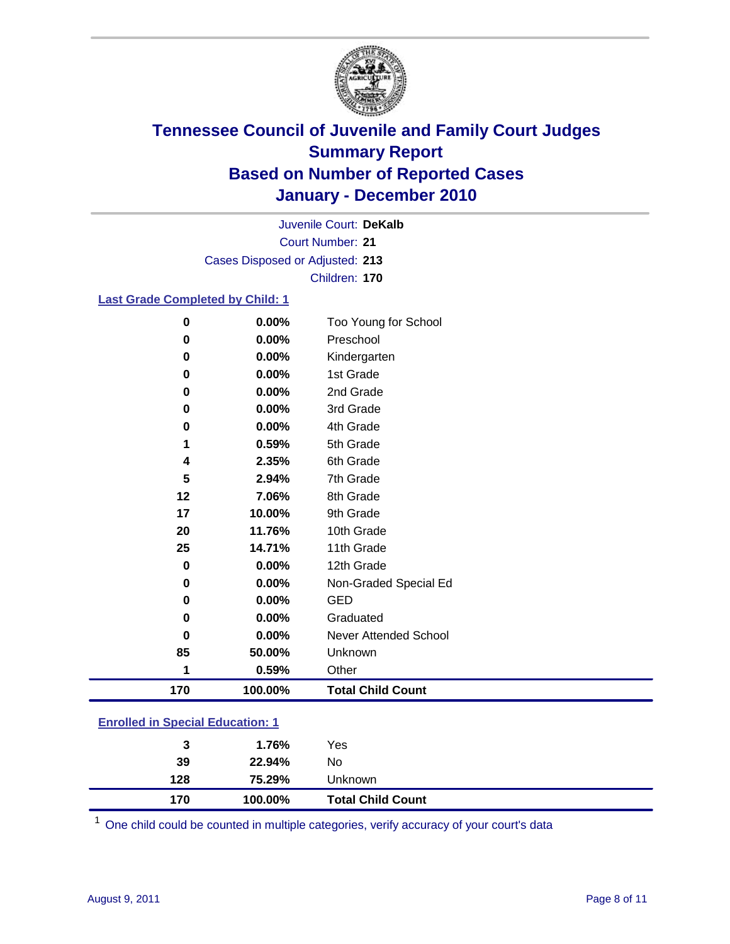

Court Number: **21** Juvenile Court: **DeKalb** Cases Disposed or Adjusted: **213** Children: **170**

### **Last Grade Completed by Child: 1**

| 0                                       | 0.00%   | Too Young for School         |  |
|-----------------------------------------|---------|------------------------------|--|
| 0                                       | 0.00%   | Preschool                    |  |
| 0                                       | 0.00%   | Kindergarten                 |  |
| 0                                       | 0.00%   | 1st Grade                    |  |
| 0                                       | 0.00%   | 2nd Grade                    |  |
| 0                                       | 0.00%   | 3rd Grade                    |  |
| 0                                       | 0.00%   | 4th Grade                    |  |
| 1                                       | 0.59%   | 5th Grade                    |  |
| 4                                       | 2.35%   | 6th Grade                    |  |
| 5                                       | 2.94%   | 7th Grade                    |  |
| 12                                      | 7.06%   | 8th Grade                    |  |
| 17                                      | 10.00%  | 9th Grade                    |  |
| 20                                      | 11.76%  | 10th Grade                   |  |
| 25                                      | 14.71%  | 11th Grade                   |  |
| $\pmb{0}$                               | 0.00%   | 12th Grade                   |  |
| 0                                       | 0.00%   | Non-Graded Special Ed        |  |
| 0                                       | 0.00%   | <b>GED</b>                   |  |
| 0                                       | 0.00%   | Graduated                    |  |
| 0                                       | 0.00%   | <b>Never Attended School</b> |  |
| 85                                      | 50.00%  | Unknown                      |  |
| 1                                       | 0.59%   | Other                        |  |
| 170                                     | 100.00% | <b>Total Child Count</b>     |  |
| <b>Enrolled in Special Education: 1</b> |         |                              |  |

| 170                                      | 100.00% | <b>Total Child Count</b> |  |  |
|------------------------------------------|---------|--------------------------|--|--|
| 128                                      | 75.29%  | <b>Unknown</b>           |  |  |
| 39                                       | 22.94%  | No                       |  |  |
| 3                                        | 1.76%   | Yes                      |  |  |
| <u>Einvilled in Opecial Education. T</u> |         |                          |  |  |

One child could be counted in multiple categories, verify accuracy of your court's data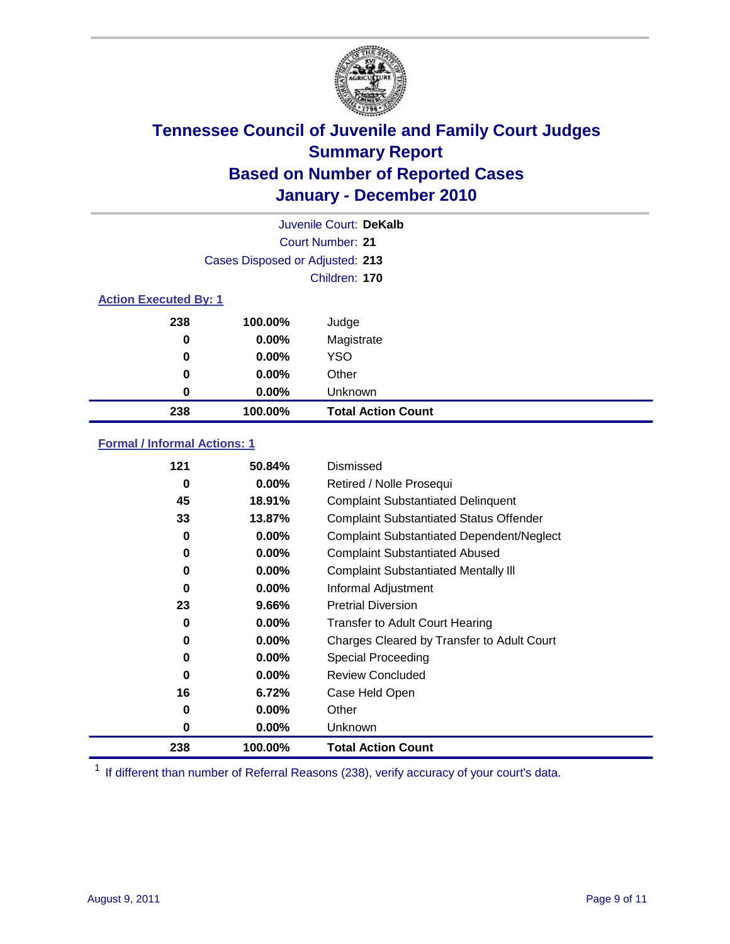

|                              |                                 | Juvenile Court: DeKalb    |
|------------------------------|---------------------------------|---------------------------|
|                              |                                 | Court Number: 21          |
|                              | Cases Disposed or Adjusted: 213 |                           |
|                              |                                 | Children: 170             |
| <b>Action Executed By: 1</b> |                                 |                           |
| 238                          | 100.00%                         | Judge                     |
| $\bf{0}$                     | 0.00%                           | Magistrate                |
| $\bf{0}$                     | 0.00%                           | <b>YSO</b>                |
| 0                            | 0.00%                           | Other                     |
| 0                            | 0.00%                           | Unknown                   |
| 238                          | 100.00%                         | <b>Total Action Count</b> |

### **Formal / Informal Actions: 1**

| 121 | 50.84%   | <b>Dismissed</b>                                 |
|-----|----------|--------------------------------------------------|
| 0   | $0.00\%$ | Retired / Nolle Prosequi                         |
| 45  | 18.91%   | <b>Complaint Substantiated Delinquent</b>        |
| 33  | 13.87%   | <b>Complaint Substantiated Status Offender</b>   |
| 0   | $0.00\%$ | <b>Complaint Substantiated Dependent/Neglect</b> |
| 0   | $0.00\%$ | <b>Complaint Substantiated Abused</b>            |
| 0   | $0.00\%$ | <b>Complaint Substantiated Mentally III</b>      |
| 0   | $0.00\%$ | Informal Adjustment                              |
| 23  | 9.66%    | <b>Pretrial Diversion</b>                        |
| 0   | $0.00\%$ | <b>Transfer to Adult Court Hearing</b>           |
| 0   | $0.00\%$ | Charges Cleared by Transfer to Adult Court       |
| 0   | $0.00\%$ | <b>Special Proceeding</b>                        |
| 0   | $0.00\%$ | <b>Review Concluded</b>                          |
| 16  | 6.72%    | Case Held Open                                   |
| 0   | $0.00\%$ | Other                                            |
| 0   | $0.00\%$ | Unknown                                          |
| 238 | 100.00%  | <b>Total Action Count</b>                        |

<sup>1</sup> If different than number of Referral Reasons (238), verify accuracy of your court's data.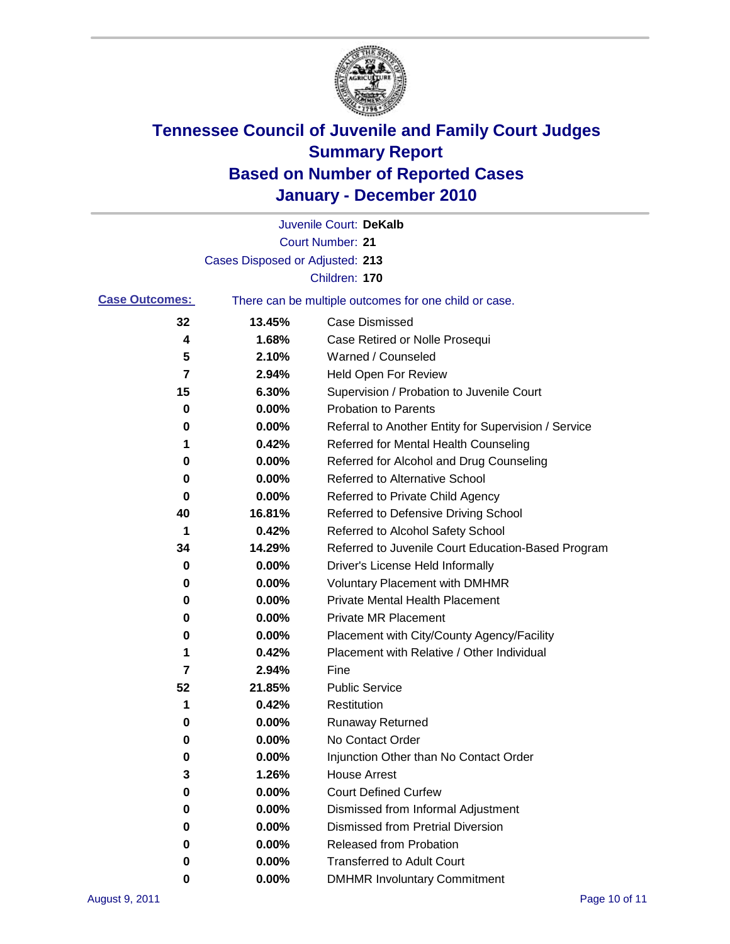

|                       |                                 | Juvenile Court: DeKalb                                |
|-----------------------|---------------------------------|-------------------------------------------------------|
|                       |                                 | <b>Court Number: 21</b>                               |
|                       | Cases Disposed or Adjusted: 213 |                                                       |
|                       |                                 | Children: 170                                         |
| <b>Case Outcomes:</b> |                                 | There can be multiple outcomes for one child or case. |
| 32                    | 13.45%                          | <b>Case Dismissed</b>                                 |
| 4                     | 1.68%                           | Case Retired or Nolle Prosequi                        |
| 5                     | 2.10%                           | Warned / Counseled                                    |
| 7                     | 2.94%                           | Held Open For Review                                  |
| 15                    | 6.30%                           | Supervision / Probation to Juvenile Court             |
| 0                     | 0.00%                           | <b>Probation to Parents</b>                           |
| 0                     | 0.00%                           | Referral to Another Entity for Supervision / Service  |
| 1                     | 0.42%                           | Referred for Mental Health Counseling                 |
| 0                     | 0.00%                           | Referred for Alcohol and Drug Counseling              |
| 0                     | 0.00%                           | <b>Referred to Alternative School</b>                 |
| 0                     | 0.00%                           | Referred to Private Child Agency                      |
| 40                    | 16.81%                          | Referred to Defensive Driving School                  |
| 1                     | 0.42%                           | Referred to Alcohol Safety School                     |
| 34                    | 14.29%                          | Referred to Juvenile Court Education-Based Program    |
| 0                     | 0.00%                           | Driver's License Held Informally                      |
| 0                     | 0.00%                           | <b>Voluntary Placement with DMHMR</b>                 |
| 0                     | 0.00%                           | <b>Private Mental Health Placement</b>                |
| 0                     | 0.00%                           | <b>Private MR Placement</b>                           |
| 0                     | 0.00%                           | Placement with City/County Agency/Facility            |
| 1                     | 0.42%                           | Placement with Relative / Other Individual            |
| 7                     | 2.94%                           | Fine                                                  |
| 52                    | 21.85%                          | <b>Public Service</b>                                 |
| 1                     | 0.42%                           | Restitution                                           |
| 0                     | 0.00%                           | <b>Runaway Returned</b>                               |
| 0                     | 0.00%                           | No Contact Order                                      |
| 0                     | 0.00%                           | Injunction Other than No Contact Order                |
| 3                     | 1.26%                           | <b>House Arrest</b>                                   |
| 0                     | 0.00%                           | <b>Court Defined Curfew</b>                           |
| 0                     | $0.00\%$                        | Dismissed from Informal Adjustment                    |
| 0                     | $0.00\%$                        | <b>Dismissed from Pretrial Diversion</b>              |
| 0                     | 0.00%                           | Released from Probation                               |
| 0                     | 0.00%                           | <b>Transferred to Adult Court</b>                     |
| 0                     | 0.00%                           | <b>DMHMR Involuntary Commitment</b>                   |